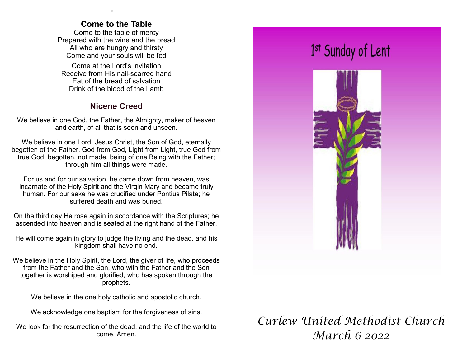### **Come to the Table**

.

Come to the table of mercy Prepared with the wine and the bread All who are hungry and thirsty Come and your souls will be fed

Come at the Lord's invitation Receive from His nail-scarred hand Eat of the bread of salvation Drink of the blood of the Lamb

## **Nicene Creed**

We believe in one God, the Father, the Almighty, maker of heaven and earth, of all that is seen and unseen.

We believe in one Lord, Jesus Christ, the Son of God, eternally begotten of the Father, God from God, Light from Light, true God from true God, begotten, not made, being of one Being with the Father; through him all things were made.

For us and for our salvation, he came down from heaven, was incarnate of the Holy Spirit and the Virgin Mary and became truly human. For our sake he was crucified under Pontius Pilate; he suffered death and was buried.

On the third day He rose again in accordance with the Scriptures; he ascended into heaven and is seated at the right hand of the Father.

He will come again in glory to judge the living and the dead, and his kingdom shall have no end.

We believe in the Holy Spirit, the Lord, the giver of life, who proceeds from the Father and the Son, who with the Father and the Son together is worshiped and glorified, who has spoken through the prophets.

We believe in the one holy catholic and apostolic church.

We acknowledge one baptism for the forgiveness of sins.

We look for the resurrection of the dead, and the life of the world to come. Amen.



# *Curlew United Methodist Church March 6 2022*